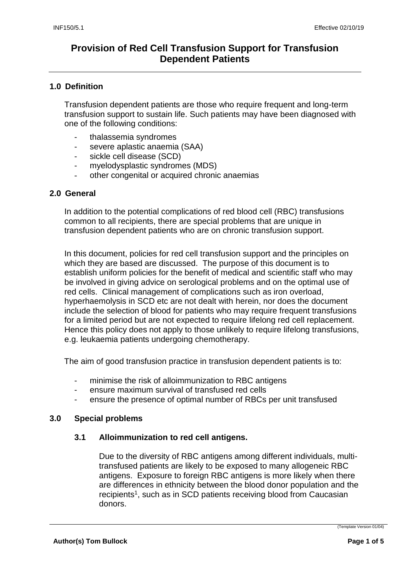## **1.0 Definition**

Transfusion dependent patients are those who require frequent and long-term transfusion support to sustain life. Such patients may have been diagnosed with one of the following conditions:

- thalassemia syndromes
- severe aplastic anaemia (SAA)
- sickle cell disease (SCD)
- myelodysplastic syndromes (MDS)
- other congenital or acquired chronic anaemias

### **2.0 General**

In addition to the potential complications of red blood cell (RBC) transfusions common to all recipients, there are special problems that are unique in transfusion dependent patients who are on chronic transfusion support.

In this document, policies for red cell transfusion support and the principles on which they are based are discussed. The purpose of this document is to establish uniform policies for the benefit of medical and scientific staff who may be involved in giving advice on serological problems and on the optimal use of red cells. Clinical management of complications such as iron overload, hyperhaemolysis in SCD etc are not dealt with herein, nor does the document include the selection of blood for patients who may require frequent transfusions for a limited period but are not expected to require lifelong red cell replacement. Hence this policy does not apply to those unlikely to require lifelong transfusions, e.g. leukaemia patients undergoing chemotherapy.

The aim of good transfusion practice in transfusion dependent patients is to:

- minimise the risk of alloimmunization to RBC antigens
- ensure maximum survival of transfused red cells
- ensure the presence of optimal number of RBCs per unit transfused

### **3.0 Special problems**

### **3.1 Alloimmunization to red cell antigens.**

Due to the diversity of RBC antigens among different individuals, multitransfused patients are likely to be exposed to many allogeneic RBC antigens. Exposure to foreign RBC antigens is more likely when there are differences in ethnicity between the blood donor population and the recipients<sup>1</sup>, such as in SCD patients receiving blood from Caucasian donors.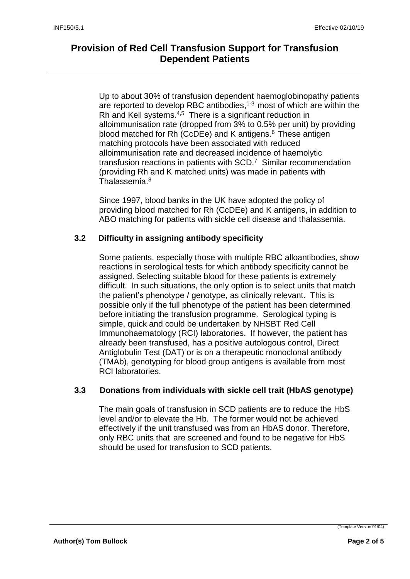Up to about 30% of transfusion dependent haemoglobinopathy patients are reported to develop RBC antibodies, $1-3$  most of which are within the Rh and Kell systems.<sup>4,5</sup> There is a significant reduction in alloimmunisation rate (dropped from 3% to 0.5% per unit) by providing blood matched for Rh (CcDEe) and K antigens.<sup>6</sup> These antigen matching protocols have been associated with reduced alloimmunisation rate and decreased incidence of haemolytic transfusion reactions in patients with  $SCD<sup>7</sup>$  Similar recommendation (providing Rh and K matched units) was made in patients with Thalassemia.<sup>8</sup>

Since 1997, blood banks in the UK have adopted the policy of providing blood matched for Rh (CcDEe) and K antigens, in addition to ABO matching for patients with sickle cell disease and thalassemia.

## **3.2 Difficulty in assigning antibody specificity**

Some patients, especially those with multiple RBC alloantibodies, show reactions in serological tests for which antibody specificity cannot be assigned. Selecting suitable blood for these patients is extremely difficult. In such situations, the only option is to select units that match the patient's phenotype / genotype, as clinically relevant. This is possible only if the full phenotype of the patient has been determined before initiating the transfusion programme. Serological typing is simple, quick and could be undertaken by NHSBT Red Cell Immunohaematology (RCI) laboratories. If however, the patient has already been transfused, has a positive autologous control, Direct Antiglobulin Test (DAT) or is on a therapeutic monoclonal antibody (TMAb), genotyping for blood group antigens is available from most RCI laboratories.

### **3.3 Donations from individuals with sickle cell trait (HbAS genotype)**

The main goals of transfusion in SCD patients are to reduce the HbS level and/or to elevate the Hb. The former would not be achieved effectively if the unit transfused was from an HbAS donor. Therefore, only RBC units that are screened and found to be negative for HbS should be used for transfusion to SCD patients.

(Template Version 01/04)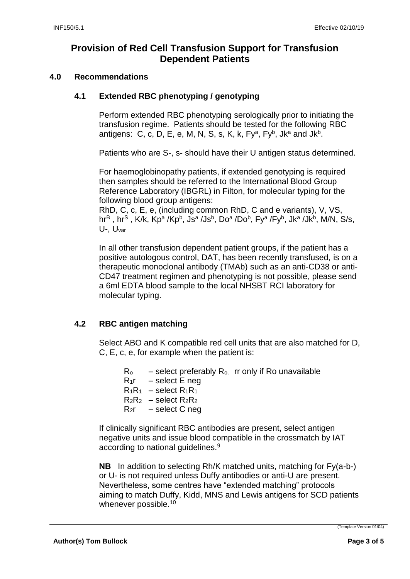### **4.0 Recommendations**

## **4.1 Extended RBC phenotyping / genotyping**

Perform extended RBC phenotyping serologically prior to initiating the transfusion regime. Patients should be tested for the following RBC antigens: C, c, D, E, e, M, N, S, s, K, k, Fy<sup>a</sup>, Fy<sup>b</sup>, Jka and Jk<sup>b</sup>.

Patients who are S-, s- should have their U antigen status determined.

For haemoglobinopathy patients, if extended genotyping is required then samples should be referred to the International Blood Group Reference Laboratory (IBGRL) in Filton, for molecular typing for the following blood group antigens:

RhD, C, c, E, e, (including common RhD, C and e variants), V, VS, hr<sup>B</sup> , hr<sup>S</sup> , K/k, Kpª /Kpʰ, Jsª /Jsʰ, Doª /Doʰ, Fyª /Fyʰ, Jkª /Jkʰ, M/N, S/s, U-, Uvar

In all other transfusion dependent patient groups, if the patient has a positive autologous control, DAT, has been recently transfused, is on a therapeutic monoclonal antibody (TMAb) such as an anti-CD38 or anti-CD47 treatment regimen and phenotyping is not possible, please send a 6ml EDTA blood sample to the local NHSBT RCI laboratory for molecular typing.

# **4.2 RBC antigen matching**

Select ABO and K compatible red cell units that are also matched for D, C, E, c, e, for example when the patient is:

 $R_0$  – select preferably  $R_0$  rr only if Ro unavailable  $R_1r -$  select E neg  $R_1R_1 -$  select  $R_1R_1$  $R_2R_2 -$  select  $R_2R_2$  $R_2r -$  select C neg

If clinically significant RBC antibodies are present, select antigen negative units and issue blood compatible in the crossmatch by IAT according to national guidelines.<sup>9</sup>

**NB** In addition to selecting Rh/K matched units, matching for Fy(a-b-) or U- is not required unless Duffy antibodies or anti-U are present. Nevertheless, some centres have "extended matching" protocols aiming to match Duffy, Kidd, MNS and Lewis antigens for SCD patients whenever possible.<sup>10</sup>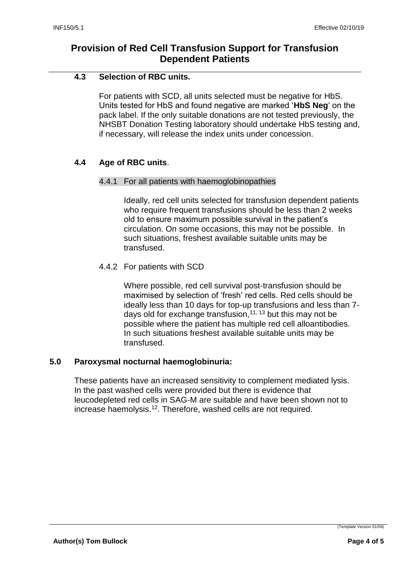## **4.3 Selection of RBC units.**

For patients with SCD, all units selected must be negative for HbS. Units tested for HbS and found negative are marked '**HbS Neg**' on the pack label. If the only suitable donations are not tested previously, the NHSBT Donation Testing laboratory should undertake HbS testing and, if necessary, will release the index units under concession.

# **4.4 Age of RBC units**.

### 4.4.1 For all patients with haemoglobinopathies

Ideally, red cell units selected for transfusion dependent patients who require frequent transfusions should be less than 2 weeks old to ensure maximum possible survival in the patient's circulation. On some occasions, this may not be possible. In such situations, freshest available suitable units may be transfused.

## 4.4.2 For patients with SCD

Where possible, red cell survival post-transfusion should be maximised by selection of 'fresh' red cells. Red cells should be ideally less than 10 days for top-up transfusions and less than 7 days old for exchange transfusion,  $11, 13$  but this may not be possible where the patient has multiple red cell alloantibodies. In such situations freshest available suitable units may be transfused.

### **5.0 Paroxysmal nocturnal haemoglobinuria:**

These patients have an increased sensitivity to complement mediated lysis. In the past washed cells were provided but there is evidence that leucodepleted red cells in SAG-M are suitable and have been shown not to increase haemolysis.<sup>12</sup>. Therefore, washed cells are not required.